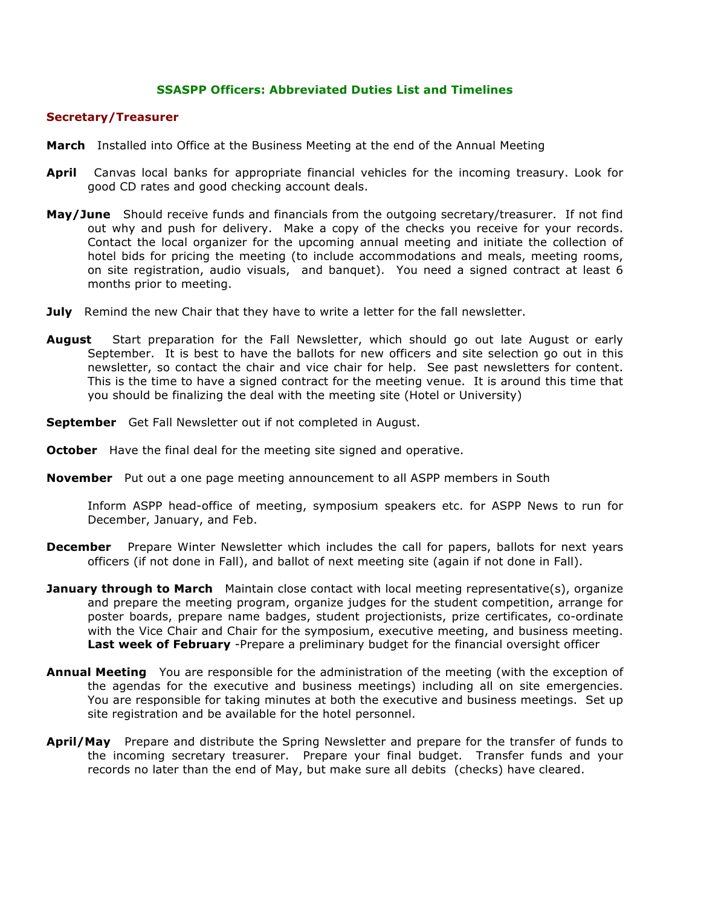## **SSASPP Officers: Abbreviated Duties List and Timelines**

## **Secretary/Treasurer**

- **March** Installed into Office at the Business Meeting at the end of the Annual Meeting
- **April** Canvas local banks for appropriate financial vehicles for the incoming treasury. Look for good CD rates and good checking account deals.
- **May/June** Should receive funds and financials from the outgoing secretary/treasurer. If not find out why and push for delivery. Make a copy of the checks you receive for your records. Contact the local organizer for the upcoming annual meeting and initiate the collection of hotel bids for pricing the meeting (to include accommodations and meals, meeting rooms, on site registration, audio visuals, and banquet). You need a signed contract at least 6 months prior to meeting.
- **July** Remind the new Chair that they have to write a letter for the fall newsletter.
- **August** Start preparation for the Fall Newsletter, which should go out late August or early September. It is best to have the ballots for new officers and site selection go out in this newsletter, so contact the chair and vice chair for help. See past newsletters for content. This is the time to have a signed contract for the meeting venue. It is around this time that you should be finalizing the deal with the meeting site (Hotel or University)
- **September** Get Fall Newsletter out if not completed in August.
- **October** Have the final deal for the meeting site signed and operative.
- **November** Put out a one page meeting announcement to all ASPP members in South

Inform ASPP head-office of meeting, symposium speakers etc. for ASPP News to run for December, January, and Feb.

- **December** Prepare Winter Newsletter which includes the call for papers, ballots for next years officers (if not done in Fall), and ballot of next meeting site (again if not done in Fall).
- **January through to March** Maintain close contact with local meeting representative(s), organize and prepare the meeting program, organize judges for the student competition, arrange for poster boards, prepare name badges, student projectionists, prize certificates, co-ordinate with the Vice Chair and Chair for the symposium, executive meeting, and business meeting. **Last week of February** -Prepare a preliminary budget for the financial oversight officer
- **Annual Meeting** You are responsible for the administration of the meeting (with the exception of the agendas for the executive and business meetings) including all on site emergencies. You are responsible for taking minutes at both the executive and business meetings. Set up site registration and be available for the hotel personnel.
- **April/May** Prepare and distribute the Spring Newsletter and prepare for the transfer of funds to the incoming secretary treasurer. Prepare your final budget. Transfer funds and your records no later than the end of May, but make sure all debits (checks) have cleared.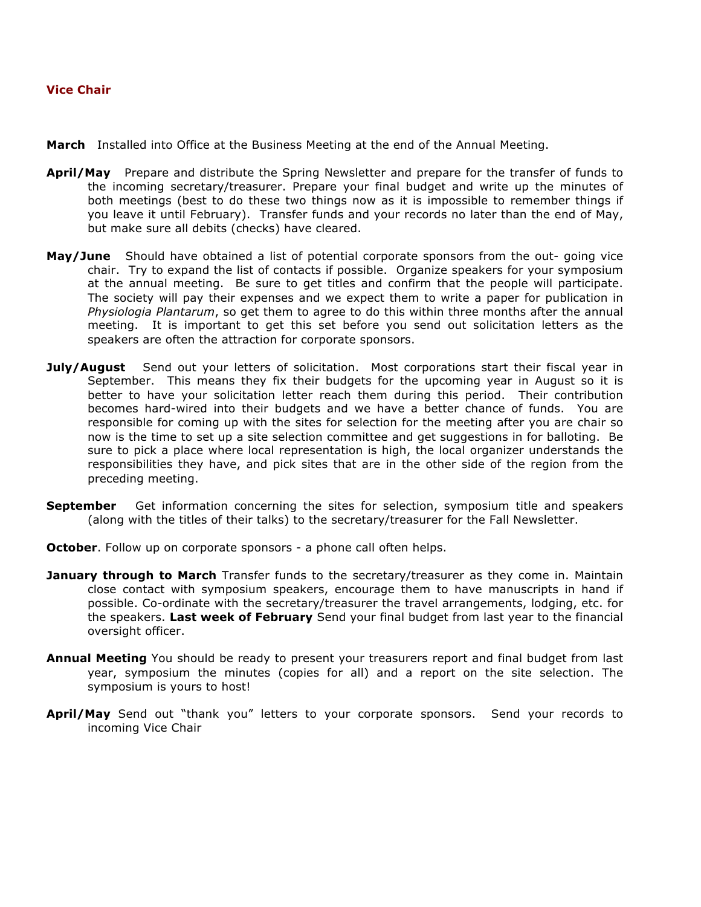## **Vice Chair**

- **March** Installed into Office at the Business Meeting at the end of the Annual Meeting.
- **April/May** Prepare and distribute the Spring Newsletter and prepare for the transfer of funds to the incoming secretary/treasurer. Prepare your final budget and write up the minutes of both meetings (best to do these two things now as it is impossible to remember things if you leave it until February). Transfer funds and your records no later than the end of May, but make sure all debits (checks) have cleared.
- **May/June** Should have obtained a list of potential corporate sponsors from the out- going vice chair. Try to expand the list of contacts if possible. Organize speakers for your symposium at the annual meeting. Be sure to get titles and confirm that the people will participate. The society will pay their expenses and we expect them to write a paper for publication in *Physiologia Plantarum*, so get them to agree to do this within three months after the annual meeting. It is important to get this set before you send out solicitation letters as the speakers are often the attraction for corporate sponsors.
- **July/August** Send out your letters of solicitation. Most corporations start their fiscal year in September. This means they fix their budgets for the upcoming year in August so it is better to have your solicitation letter reach them during this period. Their contribution becomes hard-wired into their budgets and we have a better chance of funds. You are responsible for coming up with the sites for selection for the meeting after you are chair so now is the time to set up a site selection committee and get suggestions in for balloting. Be sure to pick a place where local representation is high, the local organizer understands the responsibilities they have, and pick sites that are in the other side of the region from the preceding meeting.
- **September** Get information concerning the sites for selection, symposium title and speakers (along with the titles of their talks) to the secretary/treasurer for the Fall Newsletter.
- **October**. Follow up on corporate sponsors a phone call often helps.
- **January through to March** Transfer funds to the secretary/treasurer as they come in. Maintain close contact with symposium speakers, encourage them to have manuscripts in hand if possible. Co-ordinate with the secretary/treasurer the travel arrangements, lodging, etc. for the speakers. **Last week of February** Send your final budget from last year to the financial oversight officer.
- **Annual Meeting** You should be ready to present your treasurers report and final budget from last year, symposium the minutes (copies for all) and a report on the site selection. The symposium is yours to host!
- **April/May** Send out "thank you" letters to your corporate sponsors. Send your records to incoming Vice Chair